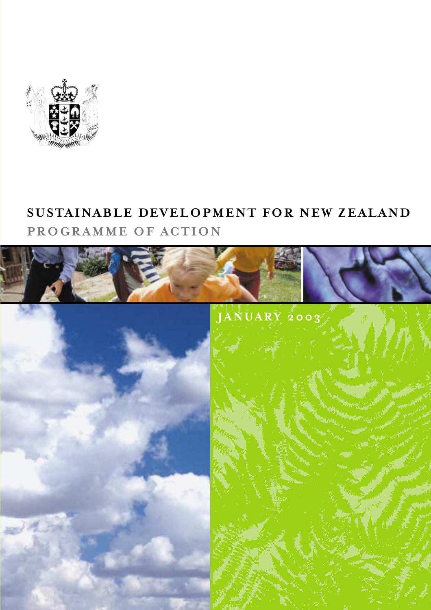

## **SUSTAINABLE DEVELOPMENT FOR NEW ZEALAND PROGRAMME OF ACTION**

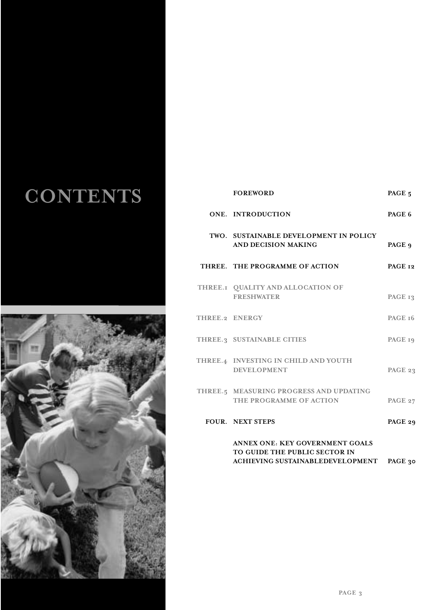## **CONTENTS**



| <b>FOREWORD</b>                                                    | PAGE 5  |
|--------------------------------------------------------------------|---------|
| ONE. INTRODUCTION                                                  | PAGE 6  |
| TWO. SUSTAINABLE DEVELOPMENT IN POLICY<br>AND DECISION MAKING      | PAGE 9  |
| THREE. THE PROGRAMME OF ACTION                                     | PAGE 12 |
| THREE.I QUALITY AND ALLOCATION OF<br><b>FRESHWATER</b>             | PAGE 13 |
| THREE.2 ENERGY                                                     | PAGE 16 |
| THREE.3 SUSTAINABLE CITIES                                         | PAGE 19 |
| THREE.4 INVESTING IN CHILD AND YOUTH<br><b>DEVELOPMENT</b>         | PAGE 23 |
| THREE.5 MEASURING PROGRESS AND UPDATING<br>THE PROGRAMME OF ACTION | PAGE 27 |
| <b>FOUR. NEXT STEPS</b>                                            | PAGE 29 |
| ANNEX ONE: KEY GOVERNMENT GOALS<br>TO GUIDE THE PUBLIC SECTOR IN   |         |

**ACHIEVING SUSTAINABLEDEVELOPMENT PAGE 30**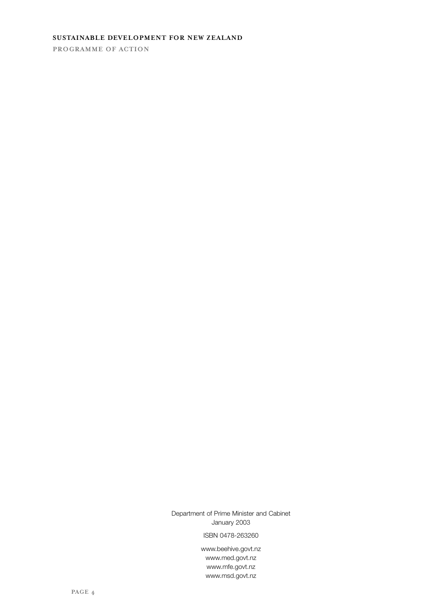## **SUSTAINABLE DEVELOPMENT FOR NEW ZEALAND**

**PROGRAMME OF ACTION**

Department of Prime Minister and Cabinet January 2003

ISBN 0478-263260

www.beehive.govt.nz www.med.govt.nz www.mfe.govt.nz www.msd.govt.nz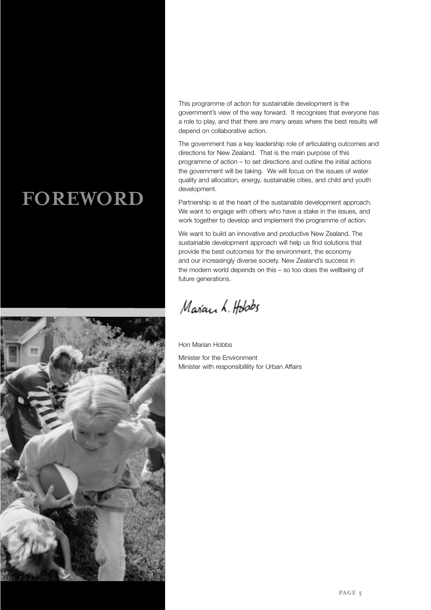## **FOREWORD**



This programme of action for sustainable development is the government's view of the way forward. It recognises that everyone has a role to play, and that there are many areas where the best results will depend on collaborative action.

The government has a key leadership role of articulating outcomes and directions for New Zealand. That is the main purpose of this programme of action – to set directions and outline the initial actions the government will be taking. We will focus on the issues of water quality and allocation, energy, sustainable cities, and child and youth development.

Partnership is at the heart of the sustainable development approach. We want to engage with others who have a stake in the issues, and work together to develop and implement the programme of action.

We want to build an innovative and productive New Zealand. The sustainable development approach will help us find solutions that provide the best outcomes for the environment, the economy and our increasingly diverse society. New Zealand's success in the modern world depends on this – so too does the wellbeing of future generations.

Maran h. Holads

Hon Marian Hobbs Minister for the Environment Minister with responsibilility for Urban Affairs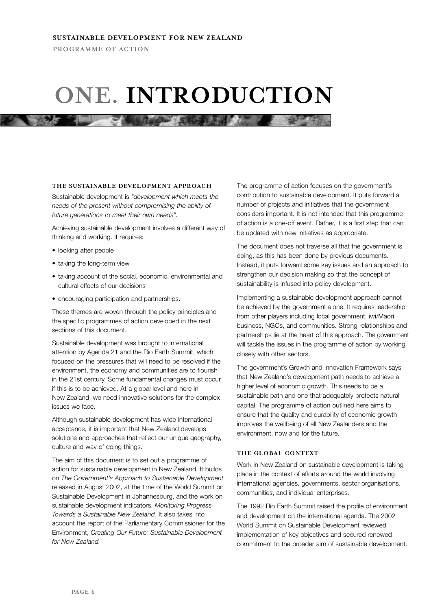## **ONE. INTRODUCTION**

**All the american control of the control of the control of the control of the control of the control of the control of the control of the control of the control of the control of the control of the control of the control o** 

#### **THE SUSTAINABLE DEVELOPMENT APPROACH**

Sustainable development is *"development which meets the needs of the present without compromising the ability of future generations to meet their own needs".*

Achieving sustainable development involves a different way of thinking and working. It requires:

- looking after people
- taking the long-term view
- taking account of the social, economic, environmental and cultural effects of our decisions
- encouraging participation and partnerships.

These themes are woven through the policy principles and the specific programmes of action developed in the next sections of this document.

Sustainable development was brought to international attention by Agenda 21 and the Rio Earth Summit, which focused on the pressures that will need to be resolved if the environment, the economy and communities are to flourish in the 21st century. Some fundamental changes must occur if this is to be achieved. At a global level and here in New Zealand, we need innovative solutions for the complex issues we face.

Although sustainable development has wide international acceptance, it is important that New Zealand develops solutions and approaches that reflect our unique geography, culture and way of doing things.

The aim of this document is to set out a programme of action for sustainable development in New Zealand. It builds on *The Government's Approach to Sustainable Development* released in August 2002, at the time of the World Summit on Sustainable Development in Johannesburg, and the work on sustainable development indicators, *Monitoring Progress Towards a Sustainable New Zealand.* It also takes into account the report of the Parliamentary Commissioner for the Environment, *Creating Our Future: Sustainable Development for New Zealand.*

The programme of action focuses on the government's contribution to sustainable development. It puts forward a number of projects and initiatives that the government considers important. It is not intended that this programme of action is a one-off event. Rather, it is a first step that can be updated with new initiatives as appropriate.

The document does not traverse all that the government is doing, as this has been done by previous documents. Instead, it puts forward some key issues and an approach to strengthen our decision making so that the concept of sustainability is infused into policy development.

Implementing a sustainable development approach cannot be achieved by the government alone. It requires leadership from other players including local government, iwi/Maori, business, NGOs, and communities. Strong relationships and partnerships lie at the heart of this approach. The government will tackle the issues in the programme of action by working closely with other sectors.

The government's Growth and Innovation Framework says that New Zealand's development path needs to achieve a higher level of economic growth. This needs to be a sustainable path and one that adequately protects natural capital. The programme of action outlined here aims to ensure that the quality and durability of economic growth improves the wellbeing of all New Zealanders and the environment, now and for the future.

#### **THE GLOBAL CONTEXT**

Work in New Zealand on sustainable development is taking place in the context of efforts around the world involving international agencies, governments, sector organisations, communities, and individual enterprises.

The 1992 Rio Earth Summit raised the profile of environment and development on the international agenda. The 2002 World Summit on Sustainable Development reviewed implementation of key objectives and secured renewed commitment to the broader aim of sustainable development.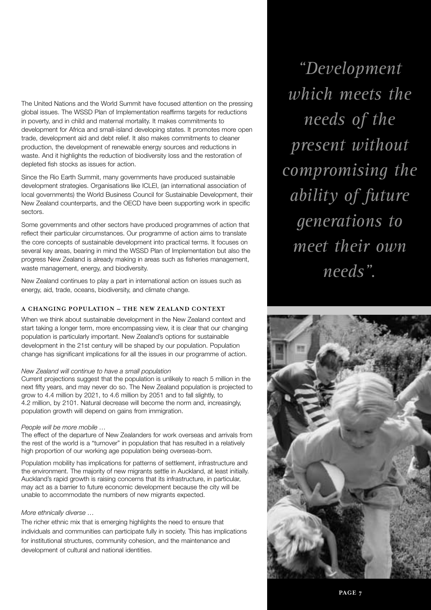The United Nations and the World Summit have focused attention on the pressing global issues. The WSSD Plan of Implementation reaffirms targets for reductions in poverty, and in child and maternal mortality. It makes commitments to development for Africa and small-island developing states. It promotes more open trade, development aid and debt relief. It also makes commitments to cleaner production, the development of renewable energy sources and reductions in waste. And it highlights the reduction of biodiversity loss and the restoration of depleted fish stocks as issues for action.

Since the Rio Earth Summit, many governments have produced sustainable development strategies. Organisations like ICLEI, (an international association of local governments) the World Business Council for Sustainable Development, their New Zealand counterparts, and the OECD have been supporting work in specific sectors.

Some governments and other sectors have produced programmes of action that reflect their particular circumstances. Our programme of action aims to translate the core concepts of sustainable development into practical terms. It focuses on several key areas, bearing in mind the WSSD Plan of Implementation but also the progress New Zealand is already making in areas such as fisheries management, waste management, energy, and biodiversity.

New Zealand continues to play a part in international action on issues such as energy, aid, trade, oceans, biodiversity, and climate change.

## **A CHANGING POPULATION – THE NEW ZEALAND CONTEXT**

When we think about sustainable development in the New Zealand context and start taking a longer term, more encompassing view, it is clear that our changing population is particularly important. New Zealand's options for sustainable development in the 21st century will be shaped by our population. Population change has significant implications for all the issues in our programme of action.

#### *New Zealand will continue to have a small population*

Current projections suggest that the population is unlikely to reach 5 million in the next fifty years, and may never do so. The New Zealand population is projected to grow to 4.4 million by 2021, to 4.6 million by 2051 and to fall slightly, to 4.2 million, by 2101. Natural decrease will become the norm and, increasingly, population growth will depend on gains from immigration.

### *People will be more mobile …*

The effect of the departure of New Zealanders for work overseas and arrivals from the rest of the world is a "turnover" in population that has resulted in a relatively high proportion of our working age population being overseas-born.

Population mobility has implications for patterns of settlement, infrastructure and the environment. The majority of new migrants settle in Auckland, at least initially. Auckland's rapid growth is raising concerns that its infrastructure, in particular, may act as a barrier to future economic development because the city will be unable to accommodate the numbers of new migrants expected.

## *More ethnically diverse …*

The richer ethnic mix that is emerging highlights the need to ensure that individuals and communities can participate fully in society. This has implications for institutional structures, community cohesion, and the maintenance and development of cultural and national identities.

*"Development which meets the needs of the present without compromising the ability of future generations to meet their own needs".*

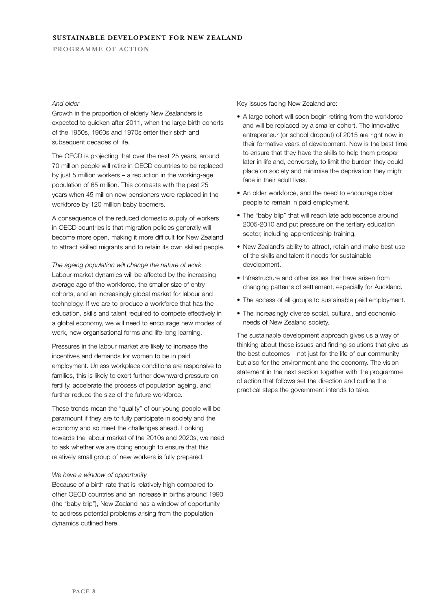## **SUSTAINABLE DEVELOPMENT FOR NEW ZEALAND**

**PROGRAMME OF ACTION**

## *And older*

Growth in the proportion of elderly New Zealanders is expected to quicken after 2011, when the large birth cohorts of the 1950s, 1960s and 1970s enter their sixth and subsequent decades of life.

The OECD is projecting that over the next 25 years, around 70 million people will retire in OECD countries to be replaced by just 5 million workers – a reduction in the working-age population of 65 million. This contrasts with the past 25 years when 45 million new pensioners were replaced in the workforce by 120 million baby boomers.

A consequence of the reduced domestic supply of workers in OECD countries is that migration policies generally will become more open, making it more difficult for New Zealand to attract skilled migrants and to retain its own skilled people.

*The ageing population will change the nature of work* Labour-market dynamics will be affected by the increasing average age of the workforce, the smaller size of entry cohorts, and an increasingly global market for labour and technology. If we are to produce a workforce that has the education, skills and talent required to compete effectively in a global economy, we will need to encourage new modes of work, new organisational forms and life-long learning.

Pressures in the labour market are likely to increase the incentives and demands for women to be in paid employment. Unless workplace conditions are responsive to families, this is likely to exert further downward pressure on fertility, accelerate the process of population ageing, and further reduce the size of the future workforce.

These trends mean the "quality" of our young people will be paramount if they are to fully participate in society and the economy and so meet the challenges ahead. Looking towards the labour market of the 2010s and 2020s, we need to ask whether we are doing enough to ensure that this relatively small group of new workers is fully prepared.

#### *We have a window of opportunity*

Because of a birth rate that is relatively high compared to other OECD countries and an increase in births around 1990 (the "baby blip"), New Zealand has a window of opportunity to address potential problems arising from the population dynamics outlined here.

Key issues facing New Zealand are:

- A large cohort will soon begin retiring from the workforce and will be replaced by a smaller cohort. The innovative entrepreneur (or school dropout) of 2015 are right now in their formative years of development. Now is the best time to ensure that they have the skills to help them prosper later in life and, conversely, to limit the burden they could place on society and minimise the deprivation they might face in their adult lives.
- An older workforce, and the need to encourage older people to remain in paid employment.
- The "baby blip" that will reach late adolescence around 2005-2010 and put pressure on the tertiary education sector, including apprenticeship training.
- New Zealand's ability to attract, retain and make best use of the skills and talent it needs for sustainable development.
- Infrastructure and other issues that have arisen from changing patterns of settlement, especially for Auckland.
- The access of all groups to sustainable paid employment.
- The increasingly diverse social, cultural, and economic needs of New Zealand society.

The sustainable development approach gives us a way of thinking about these issues and finding solutions that give us the best outcomes – not just for the life of our community but also for the environment and the economy. The vision statement in the next section together with the programme of action that follows set the direction and outline the practical steps the government intends to take.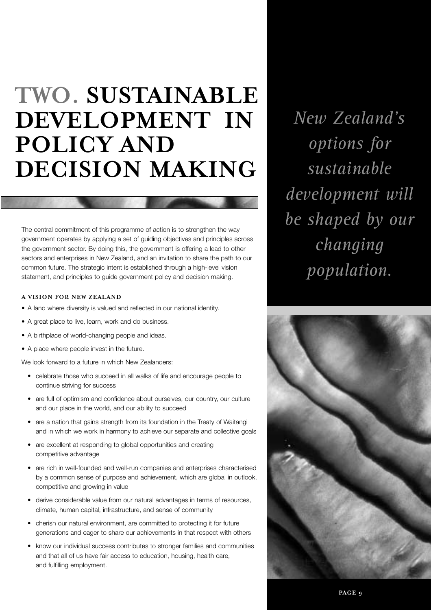## **TWO. SUSTAINABLE DEVELOPMENT IN POLICY AND DECISION MAKING**

The central commitment of this programme of action is to strengthen the way government operates by applying a set of guiding objectives and principles across the government sector. By doing this, the government is offering a lead to other sectors and enterprises in New Zealand, and an invitation to share the path to our common future. The strategic intent is established through a high-level vision statement, and principles to guide government policy and decision making.

#### **A VISION FOR NEW ZEALAND**

- A land where diversity is valued and reflected in our national identity.
- A great place to live, learn, work and do business.
- A birthplace of world-changing people and ideas.
- A place where people invest in the future.

We look forward to a future in which New Zealanders:

- celebrate those who succeed in all walks of life and encourage people to continue striving for success
- are full of optimism and confidence about ourselves, our country, our culture and our place in the world, and our ability to succeed
- are a nation that gains strength from its foundation in the Treaty of Waitangi and in which we work in harmony to achieve our separate and collective goals
- are excellent at responding to global opportunities and creating competitive advantage
- are rich in well-founded and well-run companies and enterprises characterised by a common sense of purpose and achievement, which are global in outlook, competitive and growing in value
- derive considerable value from our natural advantages in terms of resources, climate, human capital, infrastructure, and sense of community
- cherish our natural environment, are committed to protecting it for future generations and eager to share our achievements in that respect with others
- know our individual success contributes to stronger families and communities and that all of us have fair access to education, housing, health care, and fulfilling employment.

*New Zealand's options for sustainable development will be shaped by our changing population.*

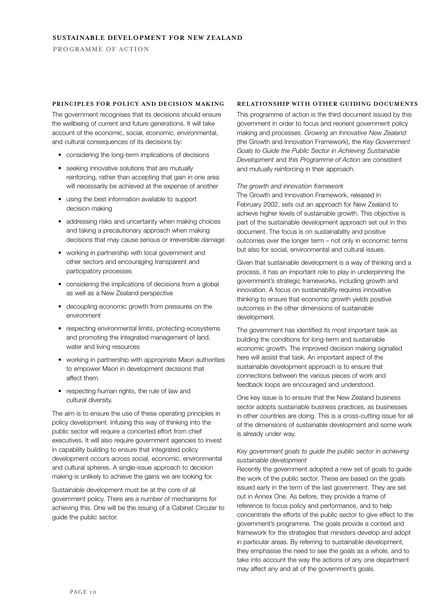#### **PRINCIPLES FOR POLICY AND DECISION MAKING**

The government recognises that its decisions should ensure the wellbeing of current and future generations. It will take account of the economic, social, economic, environmental, and cultural consequences of its decisions by:

- considering the long-term implications of decisions
- seeking innovative solutions that are mutually reinforcing, rather than accepting that gain in one area will necessarily be achieved at the expense of another
- using the best information available to support decision making
- addressing risks and uncertainty when making choices and taking a precautionary approach when making decisions that may cause serious or irreversible damage
- working in partnership with local government and other sectors and encouraging transparent and participatory processes
- considering the implications of decisions from a global as well as a New Zealand perspective
- decoupling economic growth from pressures on the environment
- respecting environmental limits, protecting ecosystems and promoting the integrated management of land, water and living resources
- working in partnership with appropriate Maori authorities to empower Maori in development decisions that affect them
- respecting human rights, the rule of law and cultural diversity.

The aim is to ensure the use of these operating principles in policy development. Infusing this way of thinking into the public sector will require a concerted effort from chief executives. It will also require government agencies to invest in capability building to ensure that integrated policy development occurs across social, economic, environmental and cultural spheres. A single-issue approach to decision making is unlikely to achieve the gains we are looking for.

Sustainable development must be at the core of all government policy. There are a number of mechanisms for achieving this. One will be the issuing of a Cabinet Circular to guide the public sector.

### **RELATIONSHIP WITH OTHER GUIDING DOCUMENTS**

This programme of action is the third document issued by this government in order to focus and reorient government policy making and processes. *Growing an Innovative New Zealand* (the Growth and Innovation Framework), the *Key Government Goals to Guide the Public Sector in Achieving Sustainable Development* and *this Programme of Action* are consistent and mutually reinforcing in their approach.

#### *The growth and innovation framework*

The Growth and Innovation Framework, released in February 2002, sets out an approach for New Zealand to achieve higher levels of sustainable growth. This objective is part of the sustainable development approach set out in this document. The focus is on sustainability and positive outcomes over the longer term – not only in economic terms but also for social, environmental and cultural issues.

Given that sustainable development is a way of thinking and a process, it has an important role to play in underpinning the government's strategic frameworks, including growth and innovation. A focus on sustainability requires innovative thinking to ensure that economic growth yields positive outcomes in the other dimensions of sustainable development.

The government has identified its most important task as building the conditions for long-term and sustainable economic growth. The improved decision making signalled here will assist that task. An important aspect of the sustainable development approach is to ensure that connections between the various pieces of work and feedback loops are encouraged and understood.

One key issue is to ensure that the New Zealand business sector adopts sustainable business practices, as businesses in other countries are doing. This is a cross-cutting issue for all of the dimensions of sustainable development and some work is already under way.

## *Key government goals to guide the public sector in achieving sustainable development*

Recently the government adopted a new set of goals to guide the work of the public sector. These are based on the goals issued early in the term of the last government. They are set out in Annex One. As before, they provide a frame of reference to focus policy and performance, and to help concentrate the efforts of the public sector to give effect to the government's programme. The goals provide a context and framework for the strategies that ministers develop and adopt in particular areas. By referring to sustainable development, they emphasise the need to see the goals as a whole, and to take into account the way the actions of any one department may affect any and all of the government's goals.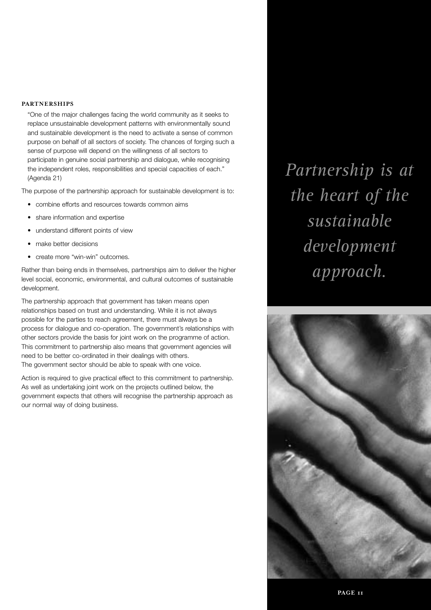## **PARTNERSHIPS**

"One of the major challenges facing the world community as it seeks to replace unsustainable development patterns with environmentally sound and sustainable development is the need to activate a sense of common purpose on behalf of all sectors of society. The chances of forging such a sense of purpose will depend on the willingness of all sectors to participate in genuine social partnership and dialogue, while recognising the independent roles, responsibilities and special capacities of each." (Agenda 21)

The purpose of the partnership approach for sustainable development is to:

- combine efforts and resources towards common aims
- share information and expertise
- understand different points of view
- make better decisions
- create more "win-win" outcomes.

Rather than being ends in themselves, partnerships aim to deliver the higher level social, economic, environmental, and cultural outcomes of sustainable development.

The partnership approach that government has taken means open relationships based on trust and understanding. While it is not always possible for the parties to reach agreement, there must always be a process for dialogue and co-operation. The government's relationships with other sectors provide the basis for joint work on the programme of action. This commitment to partnership also means that government agencies will need to be better co-ordinated in their dealings with others. The government sector should be able to speak with one voice.

Action is required to give practical effect to this commitment to partnership. As well as undertaking joint work on the projects outlined below, the government expects that others will recognise the partnership approach as our normal way of doing business.

*Partnership is at the heart of the sustainable development approach.*

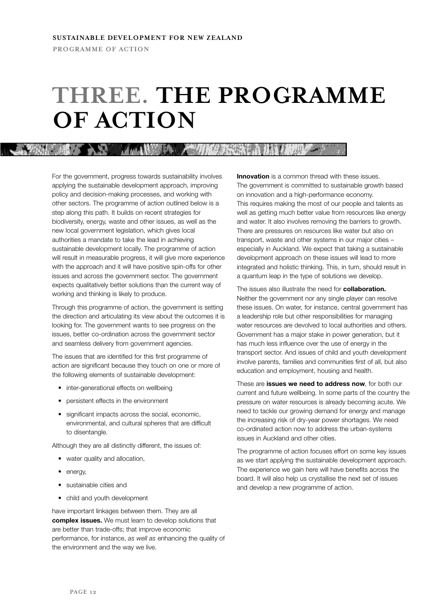## **THREE. THE PROGRAMME OF ACTION**

**NORTH MARKET AND A MARKET AND A MINOR STATE A** 

For the government, progress towards sustainability involves applying the sustainable development approach, improving policy and decision-making processes, and working with other sectors. The programme of action outlined below is a step along this path. It builds on recent strategies for biodiversity, energy, waste and other issues, as well as the new local government legislation, which gives local authorities a mandate to take the lead in achieving sustainable development locally. The programme of action will result in measurable progress, it will give more experience with the approach and it will have positive spin-offs for other issues and across the government sector. The government expects qualitatively better solutions than the current way of working and thinking is likely to produce.

Through this programme of action, the government is setting the direction and articulating its view about the outcomes it is looking for. The government wants to see progress on the issues, better co-ordination across the government sector and seamless delivery from government agencies.

The issues that are identified for this first programme of action are significant because they touch on one or more of the following elements of sustainable development:

- inter-generational effects on wellbeing
- persistent effects in the environment
- significant impacts across the social, economic, environmental, and cultural spheres that are difficult to disentangle.

Although they are all distinctly different, the issues of:

- water quality and allocation,
- energy,
- sustainable cities and
- child and youth development

have important linkages between them. They are all **complex issues.** We must learn to develop solutions that are better than trade-offs; that improve economic performance, for instance, *as well as* enhancing the quality of the environment and the way we live.

**Innovation** is a common thread with these issues. The government is committed to sustainable growth based on innovation and a high-performance economy. This requires making the most of our people and talents as well as getting much better value from resources like energy and water. It also involves removing the barriers to growth. There are pressures on resources like water but also on transport, waste and other systems in our major cities – especially in Auckland. We expect that taking a sustainable development approach on these issues will lead to more integrated and holistic thinking. This, in turn, should result in a quantum leap in the type of solutions we develop.

The issues also illustrate the need for **collaboration.** Neither the government nor any single player can resolve these issues. On water, for instance, central government has a leadership role but other responsibilities for managing water resources are devolved to local authorities and others. Government has a major stake in power generation, but it has much less influence over the use of energy in the transport sector. And issues of child and youth development involve parents, families and communities first of all, but also education and employment, housing and health.

These are **issues we need to address now**, for both our current and future wellbeing. In some parts of the country the pressure on water resources is already becoming acute. We need to tackle our growing demand for energy and manage the increasing risk of dry-year power shortages. We need co-ordinated action now to address the urban-systems issues in Auckland and other cities.

The programme of action focuses effort on some key issues as we start applying the sustainable development approach. The experience we gain here will have benefits across the board. It will also help us crystallise the next set of issues and develop a new programme of action.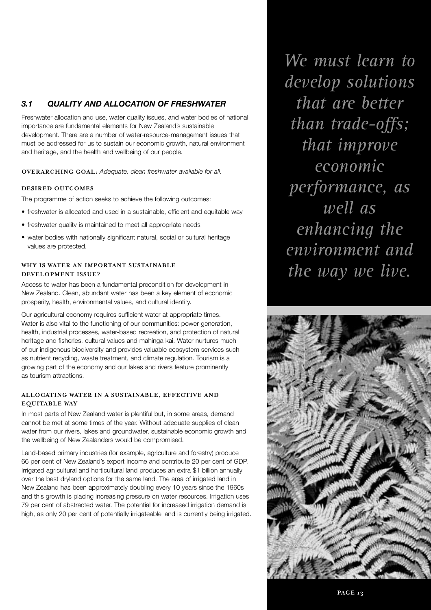## *3.1 QUALITY AND ALLOCATION OF FRESHWATER*

Freshwater allocation and use, water quality issues, and water bodies of national importance are fundamental elements for New Zealand's sustainable development. There are a number of water-resource-management issues that must be addressed for us to sustain our economic growth, natural environment and heritage, and the health and wellbeing of our people.

**OVERARCHING GOAL:** *Adequate, clean freshwater available for all.*

## **DESIRED OUTCOMES**

The programme of action seeks to achieve the following outcomes:

- freshwater is allocated and used in a sustainable, efficient and equitable way
- freshwater quality is maintained to meet all appropriate needs
- water bodies with nationally significant natural, social or cultural heritage values are protected.

## **WHY IS WATER AN IMPORTANT SUSTAINABLE DEVELOPMENT ISSUE?**

Access to water has been a fundamental precondition for development in New Zealand. Clean, abundant water has been a key element of economic prosperity, health, environmental values, and cultural identity.

Our agricultural economy requires sufficient water at appropriate times. Water is also vital to the functioning of our communities: power generation, health, industrial processes, water-based recreation, and protection of natural heritage and fisheries, cultural values and mahinga kai. Water nurtures much of our indigenous biodiversity and provides valuable ecosystem services such as nutrient recycling, waste treatment, and climate regulation. Tourism is a growing part of the economy and our lakes and rivers feature prominently as tourism attractions.

## **ALLOCATING WATER IN A SUSTAINABLE, EFFECTIVE AND EQUITABLE WAY**

In most parts of New Zealand water is plentiful but, in some areas, demand cannot be met at some times of the year. Without adequate supplies of clean water from our rivers, lakes and groundwater, sustainable economic growth and the wellbeing of New Zealanders would be compromised.

Land-based primary industries (for example, agriculture and forestry) produce 66 per cent of New Zealand's export income and contribute 20 per cent of GDP. Irrigated agricultural and horticultural land produces an extra \$1 billion annually over the best dryland options for the same land. The area of irrigated land in New Zealand has been approximately doubling every 10 years since the 1960s and this growth is placing increasing pressure on water resources. Irrigation uses 79 per cent of abstracted water. The potential for increased irrigation demand is high, as only 20 per cent of potentially irrigateable land is currently being irrigated.

*We must learn to develop solutions that are better than trade-offs; that improve economic performance, as well as enhancing the environment and the way we live.*

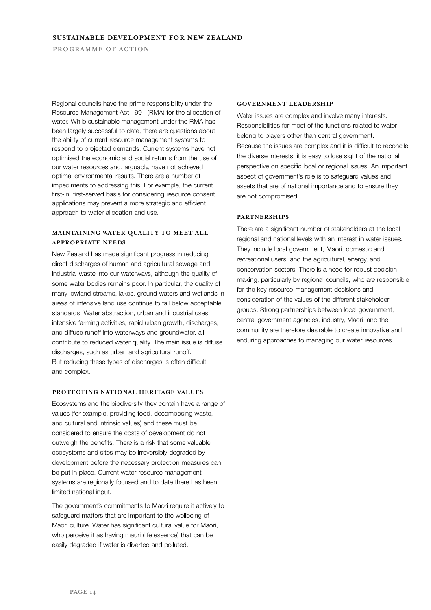Regional councils have the prime responsibility under the Resource Management Act 1991 (RMA) for the allocation of water. While sustainable management under the RMA has been largely successful to date, there are questions about the ability of current resource management systems to respond to projected demands. Current systems have not optimised the economic and social returns from the use of our water resources and, arguably, have not achieved optimal environmental results. There are a number of impediments to addressing this. For example, the current first-in, first-served basis for considering resource consent applications may prevent a more strategic and efficient approach to water allocation and use.

## **MAINTAINING WATER QUALITY TO MEET ALL APPROPRIATE NEEDS**

New Zealand has made significant progress in reducing direct discharges of human and agricultural sewage and industrial waste into our waterways, although the quality of some water bodies remains poor. In particular, the quality of many lowland streams, lakes, ground waters and wetlands in areas of intensive land use continue to fall below acceptable standards. Water abstraction, urban and industrial uses, intensive farming activities, rapid urban growth, discharges, and diffuse runoff into waterways and groundwater, all contribute to reduced water quality. The main issue is diffuse discharges, such as urban and agricultural runoff. But reducing these types of discharges is often difficult and complex.

#### **PROTECTING NATIONAL HERITAGE VALUES**

Ecosystems and the biodiversity they contain have a range of values (for example, providing food, decomposing waste, and cultural and intrinsic values) and these must be considered to ensure the costs of development do not outweigh the benefits. There is a risk that some valuable ecosystems and sites may be irreversibly degraded by development before the necessary protection measures can be put in place. Current water resource management systems are regionally focused and to date there has been limited national input.

The government's commitments to Maori require it actively to safeguard matters that are important to the wellbeing of Maori culture. Water has significant cultural value for Maori, who perceive it as having mauri (life essence) that can be easily degraded if water is diverted and polluted.

#### **GOVERNMENT LEADERSHIP**

Water issues are complex and involve many interests. Responsibilities for most of the functions related to water belong to players other than central government. Because the issues are complex and it is difficult to reconcile the diverse interests, it is easy to lose sight of the national perspective on specific local or regional issues. An important aspect of government's role is to safeguard values and assets that are of national importance and to ensure they are not compromised.

### **PARTNERSHIPS**

There are a significant number of stakeholders at the local, regional and national levels with an interest in water issues. They include local government, Maori, domestic and recreational users, and the agricultural, energy, and conservation sectors. There is a need for robust decision making, particularly by regional councils, who are responsible for the key resource-management decisions and consideration of the values of the different stakeholder groups. Strong partnerships between local government, central government agencies, industry, Maori, and the community are therefore desirable to create innovative and enduring approaches to managing our water resources.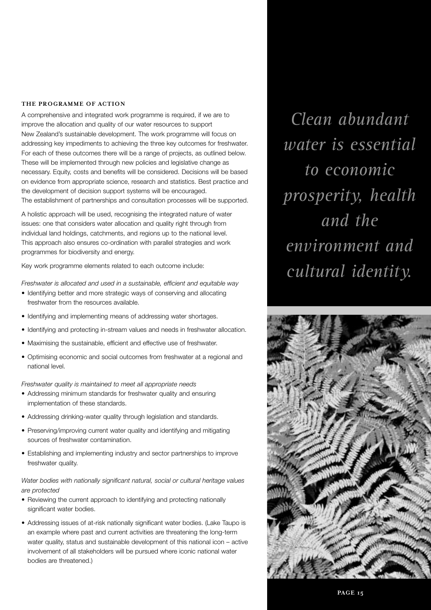A comprehensive and integrated work programme is required, if we are to improve the allocation and quality of our water resources to support New Zealand's sustainable development. The work programme will focus on addressing key impediments to achieving the three key outcomes for freshwater. For each of these outcomes there will be a range of projects, as outlined below. These will be implemented through new policies and legislative change as necessary. Equity, costs and benefits will be considered. Decisions will be based on evidence from appropriate science, research and statistics. Best practice and the development of decision support systems will be encouraged. The establishment of partnerships and consultation processes will be supported.

A holistic approach will be used, recognising the integrated nature of water issues: one that considers water allocation and quality right through from individual land holdings, catchments, and regions up to the national level. This approach also ensures co-ordination with parallel strategies and work programmes for biodiversity and energy.

Key work programme elements related to each outcome include:

*Freshwater is allocated and used in a sustainable, efficient and equitable way*

- Identifying better and more strategic ways of conserving and allocating freshwater from the resources available.
- Identifying and implementing means of addressing water shortages.
- Identifying and protecting in-stream values and needs in freshwater allocation.
- Maximising the sustainable, efficient and effective use of freshwater.
- Optimising economic and social outcomes from freshwater at a regional and national level.

*Freshwater quality is maintained to meet all appropriate needs*

- Addressing minimum standards for freshwater quality and ensuring implementation of these standards.
- Addressing drinking-water quality through legislation and standards.
- Preserving/improving current water quality and identifying and mitigating sources of freshwater contamination.
- Establishing and implementing industry and sector partnerships to improve freshwater quality.

*Water bodies with nationally significant natural, social or cultural heritage values are protected*

- Reviewing the current approach to identifying and protecting nationally significant water bodies.
- Addressing issues of at-risk nationally significant water bodies. (Lake Taupo is an example where past and current activities are threatening the long-term water quality, status and sustainable development of this national icon – active involvement of all stakeholders will be pursued where iconic national water bodies are threatened.)

*Clean abundant water is essential to economic prosperity, health and the environment and cultural identity.*

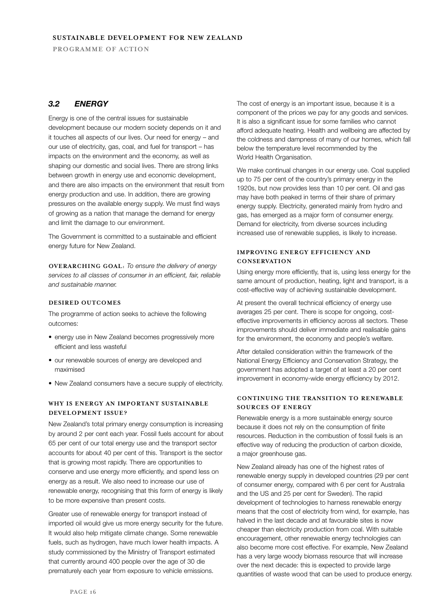## *3.2 ENERGY*

Energy is one of the central issues for sustainable development because our modern society depends on it and it touches all aspects of our lives. Our need for energy – and our use of electricity, gas, coal, and fuel for transport – has impacts on the environment and the economy, as well as shaping our domestic and social lives. There are strong links between growth in energy use and economic development, and there are also impacts on the environment that result from energy production and use. In addition, there are growing pressures on the available energy supply. We must find ways of growing as a nation that manage the demand for energy and limit the damage to our environment.

The Government is committed to a sustainable and efficient energy future for New Zealand.

**OVERARCHING GOAL:** *To ensure the delivery of energy services to all classes of consumer in an efficient, fair, reliable and sustainable manner.*

## **DESIRED OUTCOMES**

The programme of action seeks to achieve the following outcomes:

- energy use in New Zealand becomes progressively more efficient and less wasteful
- our renewable sources of energy are developed and maximised
- New Zealand consumers have a secure supply of electricity.

## **WHY IS ENERGY AN IMPORTANT SUSTAINABLE DEVELOPMENT ISSUE?**

New Zealand's total primary energy consumption is increasing by around 2 per cent each year. Fossil fuels account for about 65 per cent of our total energy use and the transport sector accounts for about 40 per cent of this. Transport is the sector that is growing most rapidly. There are opportunities to conserve and use energy more efficiently, and spend less on energy as a result. We also need to increase our use of renewable energy, recognising that this form of energy is likely to be more expensive than present costs.

Greater use of renewable energy for transport instead of imported oil would give us more energy security for the future. It would also help mitigate climate change. Some renewable fuels, such as hydrogen, have much lower health impacts. A study commissioned by the Ministry of Transport estimated that currently around 400 people over the age of 30 die prematurely each year from exposure to vehicle emissions.

The cost of energy is an important issue, because it is a component of the prices we pay for any goods and services. It is also a significant issue for some families who cannot afford adequate heating. Health and wellbeing are affected by the coldness and dampness of many of our homes, which fall below the temperature level recommended by the World Health Organisation.

We make continual changes in our energy use. Coal supplied up to 75 per cent of the country's primary energy in the 1920s, but now provides less than 10 per cent. Oil and gas may have both peaked in terms of their share of primary energy supply. Electricity, generated mainly from hydro and gas, has emerged as a major form of consumer energy. Demand for electricity, from diverse sources including increased use of renewable supplies, is likely to increase.

## **IMPROVING ENERGY EFFICIENCY AND CONSERVATION**

Using energy more efficiently, that is, using less energy for the same amount of production, heating, light and transport, is a cost-effective way of achieving sustainable development.

At present the overall technical efficiency of energy use averages 25 per cent. There is scope for ongoing, costeffective improvements in efficiency across all sectors. These improvements should deliver immediate and realisable gains for the environment, the economy and people's welfare.

After detailed consideration within the framework of the National Energy Efficiency and Conservation Strategy, the government has adopted a target of at least a 20 per cent improvement in economy-wide energy efficiency by 2012.

## **CONTINUING THE TRANSITION TO RENEWABLE SOURCES OF ENERGY**

Renewable energy is a more sustainable energy source because it does not rely on the consumption of finite resources. Reduction in the combustion of fossil fuels is an effective way of reducing the production of carbon dioxide, a major greenhouse gas.

New Zealand already has one of the highest rates of renewable energy supply in developed countries (29 per cent of consumer energy, compared with 6 per cent for Australia and the US and 25 per cent for Sweden). The rapid development of technologies to harness renewable energy means that the cost of electricity from wind, for example, has halved in the last decade and at favourable sites is now cheaper than electricity production from coal. With suitable encouragement, other renewable energy technologies can also become more cost effective. For example, New Zealand has a very large woody biomass resource that will increase over the next decade: this is expected to provide large quantities of waste wood that can be used to produce energy.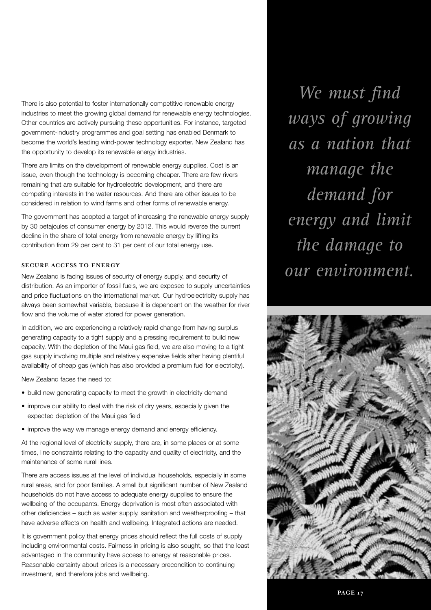There is also potential to foster internationally competitive renewable energy industries to meet the growing global demand for renewable energy technologies. Other countries are actively pursuing these opportunities. For instance, targeted government-industry programmes and goal setting has enabled Denmark to become the world's leading wind-power technology exporter. New Zealand has the opportunity to develop its renewable energy industries.

There are limits on the development of renewable energy supplies. Cost is an issue, even though the technology is becoming cheaper. There are few rivers remaining that are suitable for hydroelectric development, and there are competing interests in the water resources. And there are other issues to be considered in relation to wind farms and other forms of renewable energy.

The government has adopted a target of increasing the renewable energy supply by 30 petajoules of consumer energy by 2012. This would reverse the current decline in the share of total energy from renewable energy by lifting its contribution from 29 per cent to 31 per cent of our total energy use.

## **SECURE ACCESS TO ENERGY**

New Zealand is facing issues of security of energy supply, and security of distribution. As an importer of fossil fuels, we are exposed to supply uncertainties and price fluctuations on the international market. Our hydroelectricity supply has always been somewhat variable, because it is dependent on the weather for river flow and the volume of water stored for power generation.

In addition, we are experiencing a relatively rapid change from having surplus generating capacity to a tight supply and a pressing requirement to build new capacity. With the depletion of the Maui gas field, we are also moving to a tight gas supply involving multiple and relatively expensive fields after having plentiful availability of cheap gas (which has also provided a premium fuel for electricity).

New Zealand faces the need to:

- build new generating capacity to meet the growth in electricity demand
- improve our ability to deal with the risk of dry years, especially given the expected depletion of the Maui gas field
- improve the way we manage energy demand and energy efficiency.

At the regional level of electricity supply, there are, in some places or at some times, line constraints relating to the capacity and quality of electricity, and the maintenance of some rural lines.

There are access issues at the level of individual households, especially in some rural areas, and for poor families. A small but significant number of New Zealand households do not have access to adequate energy supplies to ensure the wellbeing of the occupants. Energy deprivation is most often associated with other deficiencies – such as water supply, sanitation and weatherproofing – that have adverse effects on health and wellbeing. Integrated actions are needed.

It is government policy that energy prices should reflect the full costs of supply including environmental costs. Fairness in pricing is also sought, so that the least advantaged in the community have access to energy at reasonable prices. Reasonable certainty about prices is a necessary precondition to continuing investment, and therefore jobs and wellbeing.

*We must find ways of growing as a nation that manage the demand for energy and limit the damage to our environment.*

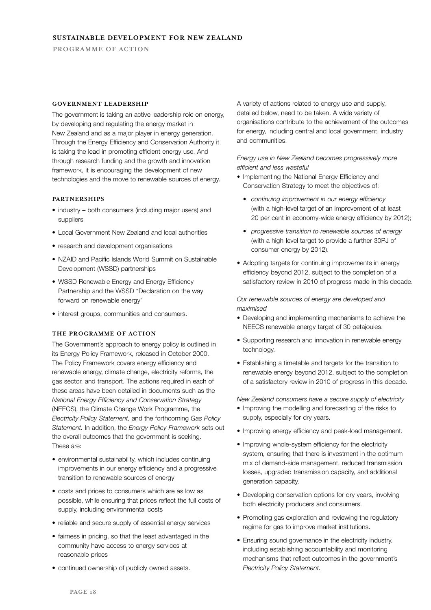### **GOVERNMENT LEADERSHIP**

The government is taking an active leadership role on energy, by developing and regulating the energy market in New Zealand and as a major player in energy generation. Through the Energy Efficiency and Conservation Authority it is taking the lead in promoting efficient energy use. And through research funding and the growth and innovation framework, it is encouraging the development of new technologies and the move to renewable sources of energy.

#### **PARTNERSHIPS**

- industry both consumers (including major users) and suppliers
- Local Government New Zealand and local authorities
- research and development organisations
- NZAID and Pacific Islands World Summit on Sustainable Development (WSSD) partnerships
- WSSD Renewable Energy and Energy Efficiency Partnership and the WSSD "Declaration on the way forward on renewable energy"
- interest groups, communities and consumers.

## **THE PROGRAMME OF ACTION**

The Government's approach to energy policy is outlined in its Energy Policy Framework, released in October 2000. The Policy Framework covers energy efficiency and renewable energy, climate change, electricity reforms, the gas sector, and transport. The actions required in each of these areas have been detailed in documents such as the *National Energy Efficiency and Conservation Strategy* (NEECS), the Climate Change Work Programme, the *Electricity Policy Statement,* and the forthcoming *Gas Policy Statement.* In addition, the *Energy Policy Framework* sets out the overall outcomes that the government is seeking. These are:

- environmental sustainability, which includes continuing improvements in our energy efficiency and a progressive transition to renewable sources of energy
- costs and prices to consumers which are as low as possible, while ensuring that prices reflect the full costs of supply, including environmental costs
- reliable and secure supply of essential energy services
- fairness in pricing, so that the least advantaged in the community have access to energy services at reasonable prices
- continued ownership of publicly owned assets.

A variety of actions related to energy use and supply, detailed below, need to be taken. A wide variety of organisations contribute to the achievement of the outcomes for energy, including central and local government, industry and communities.

*Energy use in New Zealand becomes progressively more efficient and less wasteful*

- Implementing the National Energy Efficiency and Conservation Strategy to meet the objectives of:
	- *continuing improvement in our energy efficiency*  (with a high-level target of an improvement of at least 20 per cent in economy-wide energy efficiency by 2012);
	- *progressive transition to renewable sources of energy* (with a high-level target to provide a further 30PJ of consumer energy by 2012).
- Adopting targets for continuing improvements in energy efficiency beyond 2012, subject to the completion of a satisfactory review in 2010 of progress made in this decade.

## *Our renewable sources of energy are developed and maximised*

- Developing and implementing mechanisms to achieve the NEECS renewable energy target of 30 petajoules.
- Supporting research and innovation in renewable energy technology.
- Establishing a timetable and targets for the transition to renewable energy beyond 2012, subject to the completion of a satisfactory review in 2010 of progress in this decade.

*New Zealand consumers have a secure supply of electricity*

- Improving the modelling and forecasting of the risks to supply, especially for dry years.
- Improving energy efficiency and peak-load management.
- Improving whole-system efficiency for the electricity system, ensuring that there is investment in the optimum mix of demand-side management, reduced transmission losses, upgraded transmission capacity, and additional generation capacity.
- Developing conservation options for dry years, involving both electricity producers and consumers.
- Promoting gas exploration and reviewing the regulatory regime for gas to improve market institutions.
- Ensuring sound governance in the electricity industry, including establishing accountability and monitoring mechanisms that reflect outcomes in the government's *Electricity Policy Statement.*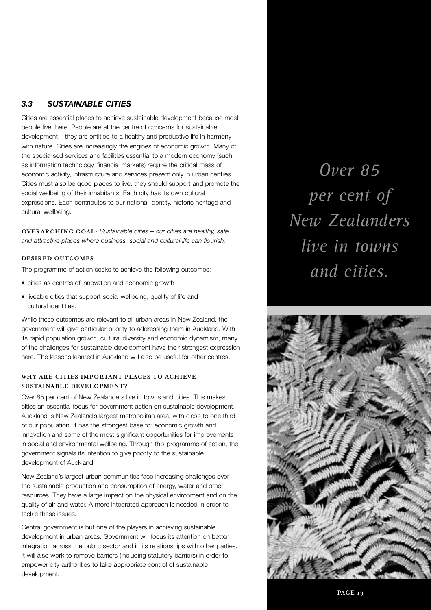## *3.3 SUSTAINABLE CITIES*

Cities are essential places to achieve sustainable development because most people live there. People are at the centre of concerns for sustainable development – they are entitled to a healthy and productive life in harmony with nature. Cities are increasingly the engines of economic growth. Many of the specialised services and facilities essential to a modern economy (such as information technology, financial markets) require the critical mass of economic activity, infrastructure and services present only in urban centres. Cities must also be good places to live: they should support and promote the social wellbeing of their inhabitants. Each city has its own cultural expressions. Each contributes to our national identity, historic heritage and cultural wellbeing.

**OVERARCHING GOAL:** *Sustainable cities – our cities are healthy, safe and attractive places where business, social and cultural life can flourish.*

## **DESIRED OUTCOMES**

The programme of action seeks to achieve the following outcomes:

- cities as centres of innovation and economic growth
- liveable cities that support social wellbeing, quality of life and cultural identities.

While these outcomes are relevant to all urban areas in New Zealand, the government will give particular priority to addressing them in Auckland. With its rapid population growth, cultural diversity and economic dynamism, many of the challenges for sustainable development have their strongest expression here. The lessons learned in Auckland will also be useful for other centres.

## **WHY ARE CITIES IMPORTANT PLACES TO ACHIEVE SUSTAINABLE DEVELOPMENT?**

Over 85 per cent of New Zealanders live in towns and cities. This makes cities an essential focus for government action on sustainable development. Auckland is New Zealand's largest metropolitan area, with close to one third of our population. It has the strongest base for economic growth and innovation and some of the most significant opportunities for improvements in social and environmental wellbeing. Through this programme of action, the government signals its intention to give priority to the sustainable development of Auckland.

New Zealand's largest urban communities face increasing challenges over the sustainable production and consumption of energy, water and other resources. They have a large impact on the physical environment and on the quality of air and water. A more integrated approach is needed in order to tackle these issues.

Central government is but one of the players in achieving sustainable development in urban areas. Government will focus its attention on better integration across the public sector and in its relationships with other parties. It will also work to remove barriers (including statutory barriers) in order to empower city authorities to take appropriate control of sustainable development.

*Over 85 per cent of New Zealanders live in towns and cities.*

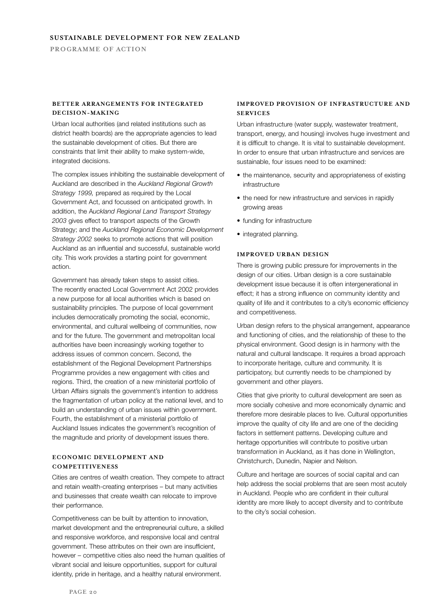## **BETTER ARRANGEMENTS FOR INTEGRATED DECISION-MAKING**

Urban local authorities (and related institutions such as district health boards) are the appropriate agencies to lead the sustainable development of cities. But there are constraints that limit their ability to make system-wide, integrated decisions.

The complex issues inhibiting the sustainable development of Auckland are described in the *Auckland Regional Growth Strategy 1999,* prepared as required by the Local Government Act, and focussed on anticipated growth. In addition, the A*uckland Regional Land Transport Strategy 2003* gives effect to transport aspects of the Growth Strategy; and the *Auckland Regional Economic Development Strategy 2002* seeks to promote actions that will position Auckland as an influential and successful, sustainable world city. This work provides a starting point for government action.

Government has already taken steps to assist cities. The recently enacted Local Government Act 2002 provides a new purpose for all local authorities which is based on sustainability principles. The purpose of local government includes democratically promoting the social, economic, environmental, and cultural wellbeing of communities, now and for the future. The government and metropolitan local authorities have been increasingly working together to address issues of common concern. Second, the establishment of the Regional Development Partnerships Programme provides a new engagement with cities and regions. Third, the creation of a new ministerial portfolio of Urban Affairs signals the government's intention to address the fragmentation of urban policy at the national level, and to build an understanding of urban issues within government. Fourth, the establishment of a ministerial portfolio of Auckland Issues indicates the government's recognition of the magnitude and priority of development issues there.

## **ECONOMIC DEVELOPMENT AND COMPETITIVENESS**

Cities are centres of wealth creation. They compete to attract and retain wealth-creating enterprises – but many activities and businesses that create wealth can relocate to improve their performance.

Competitiveness can be built by attention to innovation, market development and the entrepreneurial culture, a skilled and responsive workforce, and responsive local and central government. These attributes on their own are insufficient, however – competitive cities also need the human qualities of vibrant social and leisure opportunities, support for cultural identity, pride in heritage, and a healthy natural environment.

## **IMPROVED PROVISION OF INFRASTRUCTURE AND SERVICES**

Urban infrastructure (water supply, wastewater treatment, transport, energy, and housing) involves huge investment and it is difficult to change. It is vital to sustainable development. In order to ensure that urban infrastructure and services are sustainable, four issues need to be examined:

- the maintenance, security and appropriateness of existing infrastructure
- the need for new infrastructure and services in rapidly growing areas
- funding for infrastructure
- integrated planning.

## **IMPROVED URBAN DESIGN**

There is growing public pressure for improvements in the design of our cities. Urban design is a core sustainable development issue because it is often intergenerational in effect; it has a strong influence on community identity and quality of life and it contributes to a city's economic efficiency and competitiveness.

Urban design refers to the physical arrangement, appearance and functioning of cities, and the relationship of these to the physical environment. Good design is in harmony with the natural and cultural landscape. It requires a broad approach to incorporate heritage, culture and community. It is participatory, but currently needs to be championed by government and other players.

Cities that give priority to cultural development are seen as more socially cohesive and more economically dynamic and therefore more desirable places to live. Cultural opportunities improve the quality of city life and are one of the deciding factors in settlement patterns. Developing culture and heritage opportunities will contribute to positive urban transformation in Auckland, as it has done in Wellington, Christchurch, Dunedin, Napier and Nelson.

Culture and heritage are sources of social capital and can help address the social problems that are seen most acutely in Auckland. People who are confident in their cultural identity are more likely to accept diversity and to contribute to the city's social cohesion.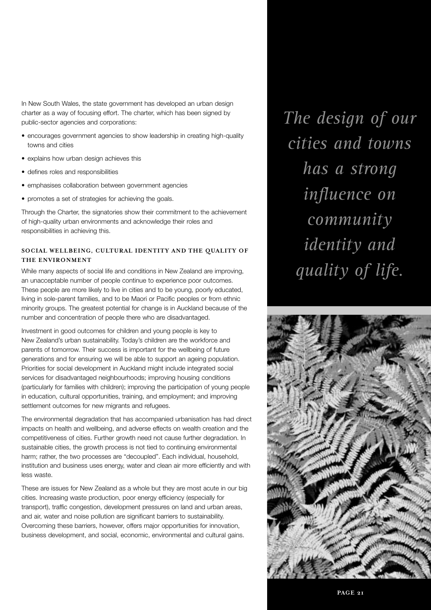In New South Wales, the state government has developed an urban design charter as a way of focusing effort. The charter, which has been signed by public-sector agencies and corporations:

- encourages government agencies to show leadership in creating high-quality towns and cities
- explains how urban design achieves this
- defines roles and responsibilities
- emphasises collaboration between government agencies
- promotes a set of strategies for achieving the goals.

Through the Charter, the signatories show their commitment to the achievement of high-quality urban environments and acknowledge their roles and responsibilities in achieving this.

## **SOCIAL WELLBEING, CULTURAL IDENTITY AND THE QUALITY OF THE ENVIRONMENT**

While many aspects of social life and conditions in New Zealand are improving, an unacceptable number of people continue to experience poor outcomes. These people are more likely to live in cities and to be young, poorly educated, living in sole-parent families, and to be Maori or Pacific peoples or from ethnic minority groups. The greatest potential for change is in Auckland because of the number and concentration of people there who are disadvantaged.

Investment in good outcomes for children and young people is key to New Zealand's urban sustainability. Today's children are the workforce and parents of tomorrow. Their success is important for the wellbeing of future generations and for ensuring we will be able to support an ageing population. Priorities for social development in Auckland might include integrated social services for disadvantaged neighbourhoods; improving housing conditions (particularly for families with children); improving the participation of young people in education, cultural opportunities, training, and employment; and improving settlement outcomes for new migrants and refugees.

The environmental degradation that has accompanied urbanisation has had direct impacts on health and wellbeing, and adverse effects on wealth creation and the competitiveness of cities. Further growth need not cause further degradation. In sustainable cities, the growth process is not tied to continuing environmental harm; rather, the two processes are "decoupled". Each individual, household, institution and business uses energy, water and clean air more efficiently and with less waste.

These are issues for New Zealand as a whole but they are most acute in our big cities. Increasing waste production, poor energy efficiency (especially for transport), traffic congestion, development pressures on land and urban areas, and air, water and noise pollution are significant barriers to sustainability. Overcoming these barriers, however, offers major opportunities for innovation, business development, and social, economic, environmental and cultural gains.

*The design of our cities and towns has a strong influence on community identity and quality of life.*

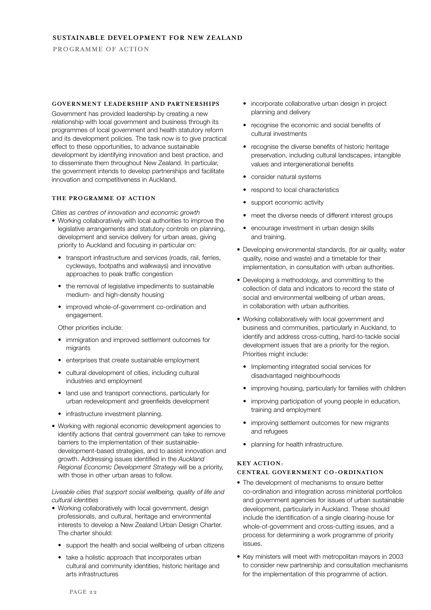#### **GOVERNMENT LEADERSHIP AND PARTNERSHIPS**

Government has provided leadership by creating a new relationship with local government and business through its programmes of local government and health statutory reform and its development policies. The task now is to give practical effect to these opportunities, to advance sustainable development by identifying innovation and best practice, and to disseminate them throughout New Zealand. In particular, the government intends to develop partnerships and facilitate innovation and competitiveness in Auckland.

#### **THE PROGRAMME OF ACTION**

*Cities as centres of innovation and economic growth*

- Working collaboratively with local authorities to improve the legislative arrangements and statutory controls on planning, development and service delivery for urban areas, giving priority to Auckland and focusing in particular on:
	- transport infrastructure and services (roads, rail, ferries, cycleways, footpaths and walkways) and innovative approaches to peak traffic congestion
	- the removal of legislative impediments to sustainable medium- and high-density housing
	- improved whole-of-government co-ordination and engagement.

Other priorities include:

- immigration and improved settlement outcomes for migrants
- enterprises that create sustainable employment
- cultural development of cities, including cultural industries and employment
- land use and transport connections, particularly for urban redevelopment and greenfields development
- infrastructure investment planning.
- Working with regional economic development agencies to identify actions that central government can take to remove barriers to the implementation of their sustainabledevelopment-based strategies, and to assist innovation and growth. Addressing issues identified in the *Auckland Regional Economic Development Strategy* will be a priority, with those in other urban areas to follow.

## *Liveable cities that support social wellbeing, quality of life and cultural identities*

- Working collaboratively with local government, design professionals, and cultural, heritage and environmental interests to develop a New Zealand Urban Design Charter. The charter should:
	- support the health and social wellbeing of urban citizens
	- take a holistic approach that incorporates urban cultural and community identities, historic heritage and arts infrastructures
- incorporate collaborative urban design in project planning and delivery
- recognise the economic and social benefits of cultural investments
- recognise the diverse benefits of historic heritage preservation, including cultural landscapes, intangible values and intergenerational benefits
- consider natural systems
- respond to local characteristics
- support economic activity
- meet the diverse needs of different interest groups
- encourage investment in urban design skills and training.
- Developing environmental standards, (for air quality, water quality, noise and waste) and a timetable for their implementation, in consultation with urban authorities.
- Developing a methodology, and committing to the collection of data and indicators to record the state of social and environmental wellbeing of urban areas, in collaboration with urban authorities.
- Working collaboratively with local government and business and communities, particularly in Auckland, to identify and address cross-cutting, hard-to-tackle social development issues that are a priority for the region. Priorities might include:
	- Implementing integrated social services for disadvantaged neighbourhoods
	- improving housing, particularly for families with children
	- improving participation of young people in education, training and employment
	- improving settlement outcomes for new migrants and refugees
	- planning for health infrastructure.

### **KEY ACTION:**

## **CENTRAL GOVERNMENT CO-ORDINATION**

- The development of mechanisms to ensure better co-ordination and integration across ministerial portfolios and government agencies for issues of urban sustainable development, particularly in Auckland. These should include the identification of a single clearing-house for whole-of-government and cross-cutting issues, and a process for determining a work programme of priority issues.
- Key ministers will meet with metropolitan mayors in 2003 to consider new partnership and consultation mechanisms for the implementation of this programme of action.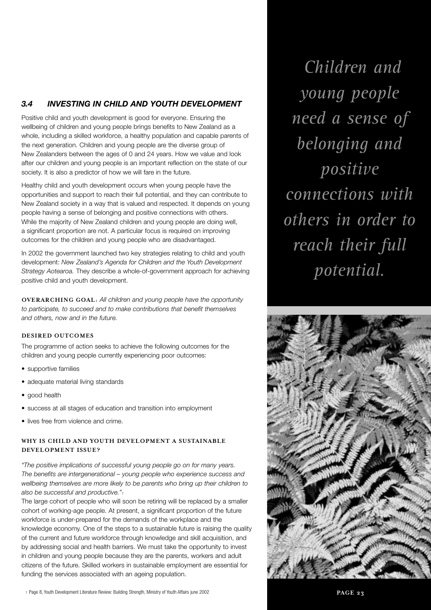## *3.4 INVESTING IN CHILD AND YOUTH DEVELOPMENT*

Positive child and youth development is good for everyone. Ensuring the wellbeing of children and young people brings benefits to New Zealand as a whole, including a skilled workforce, a healthy population and capable parents of the next generation. Children and young people are the diverse group of New Zealanders between the ages of 0 and 24 years. How we value and look after our children and young people is an important reflection on the state of our society. It is also a predictor of how we will fare in the future.

Healthy child and youth development occurs when young people have the opportunities and support to reach their full potential, and they can contribute to New Zealand society in a way that is valued and respected. It depends on young people having a sense of belonging and positive connections with others. While the majority of New Zealand children and young people are doing well, a significant proportion are not. A particular focus is required on improving outcomes for the children and young people who are disadvantaged.

In 2002 the government launched two key strategies relating to child and youth development: *New Zealand's Agenda for Children and the Youth Development Strategy Aotearoa.* They describe a whole-of-government approach for achieving positive child and youth development.

**OVERARCHING GOAL:** *All children and young people have the opportunity to participate, to succeed and to make contributions that benefit themselves and others, now and in the future.*

## **DESIRED OUTCOMES**

The programme of action seeks to achieve the following outcomes for the children and young people currently experiencing poor outcomes:

- supportive families
- adequate material living standards
- good health
- success at all stages of education and transition into employment
- lives free from violence and crime.

## **WHY IS CHILD AND YOUTH DEVELOPMENT A SUSTAINABLE DEVELOPMENT ISSUE?**

*"The positive implications of successful young people go on for many years. The benefits are intergenerational – young people who experience success and wellbeing themselves are more likely to be parents who bring up their children to also be successful and productive."1*

The large cohort of people who will soon be retiring will be replaced by a smaller cohort of working-age people. At present, a significant proportion of the future workforce is under-prepared for the demands of the workplace and the knowledge economy. One of the steps to a sustainable future is raising the quality of the current and future workforce through knowledge and skill acquisition, and by addressing social and health barriers. We must take the opportunity to invest in children and young people because they are the parents, workers and adult citizens of the future. Skilled workers in sustainable employment are essential for funding the services associated with an ageing population.

*Children and young people need a sense of belonging and positive connections with others in order to reach their full potential.* 

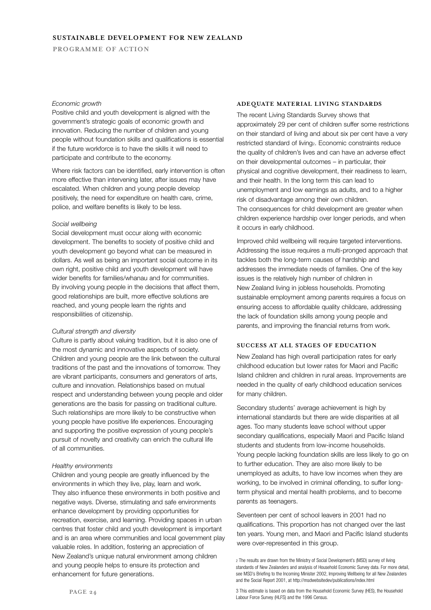## **SUSTAINABLE DEVELOPMENT FOR NEW ZEALAND**

**PROGRAMME OF ACTION**

#### *Economic growth*

Positive child and youth development is aligned with the government's strategic goals of economic growth and innovation. Reducing the number of children and young people without foundation skills and qualifications is essential if the future workforce is to have the skills it will need to participate and contribute to the economy.

Where risk factors can be identified, early intervention is often more effective than intervening later, after issues may have escalated. When children and young people develop positively, the need for expenditure on health care, crime, police, and welfare benefits is likely to be less.

#### *Social wellbeing*

Social development must occur along with economic development. The benefits to society of positive child and youth development go beyond what can be measured in dollars. As well as being an important social outcome in its own right, positive child and youth development will have wider benefits for families/whanau and for communities. By involving young people in the decisions that affect them, good relationships are built, more effective solutions are reached, and young people learn the rights and responsibilities of citizenship.

#### *Cultural strength and diversity*

Culture is partly about valuing tradition, but it is also one of the most dynamic and innovative aspects of society. Children and young people are the link between the cultural traditions of the past and the innovations of tomorrow. They are vibrant participants, consumers and generators of arts, culture and innovation. Relationships based on mutual respect and understanding between young people and older generations are the basis for passing on traditional culture. Such relationships are more likely to be constructive when young people have positive life experiences. Encouraging and supporting the positive expression of young people's pursuit of novelty and creativity can enrich the cultural life of all communities.

#### *Healthy environments*

Children and young people are greatly influenced by the environments in which they live, play, learn and work. They also influence these environments in both positive and negative ways. Diverse, stimulating and safe environments enhance development by providing opportunities for recreation, exercise, and learning. Providing spaces in urban centres that foster child and youth development is important and is an area where communities and local government play valuable roles. In addition, fostering an appreciation of New Zealand's unique natural environment among children and young people helps to ensure its protection and enhancement for future generations.

#### **ADEQUATE MATERIAL LIVING STANDARDS**

The recent Living Standards Survey shows that approximately 29 per cent of children suffer some restrictions on their standard of living and about six per cent have a very restricted standard of living<sub>2</sub>. Economic constraints reduce the quality of children's lives and can have an adverse effect on their developmental outcomes – in particular, their physical and cognitive development, their readiness to learn, and their health. In the long term this can lead to unemployment and low earnings as adults, and to a higher risk of disadvantage among their own children. The consequences for child development are greater when children experience hardship over longer periods, and when

Improved child wellbeing will require targeted interventions. Addressing the issue requires a multi-pronged approach that tackles both the long-term causes of hardship and addresses the immediate needs of families. One of the key issues is the relatively high number of children in New Zealand living in jobless households. Promoting sustainable employment among parents requires a focus on ensuring access to affordable quality childcare, addressing the lack of foundation skills among young people and parents, and improving the financial returns from work.

#### **SUCCESS AT ALL STAGES OF EDUCATION**

it occurs in early childhood.

New Zealand has high overall participation rates for early childhood education but lower rates for Maori and Pacific Island children and children in rural areas. Improvements are needed in the quality of early childhood education services for many children.

Secondary students' average achievement is high by international standards but there are wide disparities at all ages. Too many students leave school without upper secondary qualifications, especially Maori and Pacific Island students and students from low-income households. Young people lacking foundation skills are less likely to go on to further education. They are also more likely to be unemployed as adults, to have low incomes when they are working, to be involved in criminal offending, to suffer longterm physical and mental health problems, and to become parents as teenagers.

Seventeen per cent of school leavers in 2001 had no qualifications. This proportion has not changed over the last ten years. Young men, and Maori and Pacific Island students were over-represented in this group.

3 This estimate is based on data from the Household Economic Survey (HES), the Household Labour Force Survey (HLFS) and the 1996 Census.

<sup>2</sup> The results are drawn from the Ministry of Social Development's (MSD) survey of living standards of New Zealanders and analysis of Household Economic Survey data. For more detail, see MSD's Briefing to the Incoming Minister 2002, Improving Wellbeing for all New Zealanders and the Social Report 2001, at http://msdwebsitedev/publications/index.html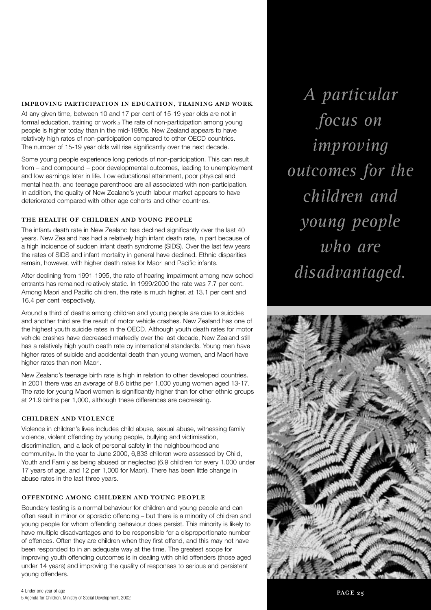### **IMPROVING PARTICIPATION IN EDUCATION, TRAINING AND WORK**

At any given time, between 10 and 17 per cent of 15-19 year olds are not in formal education, training or work.<sup>3</sup> The rate of non-participation among young people is higher today than in the mid-1980s. New Zealand appears to have relatively high rates of non-participation compared to other OECD countries. The number of 15-19 year olds will rise significantly over the next decade.

Some young people experience long periods of non-participation. This can result from – and compound – poor developmental outcomes, leading to unemployment and low earnings later in life. Low educational attainment, poor physical and mental health, and teenage parenthood are all associated with non-participation. In addition, the quality of New Zealand's youth labour market appears to have deteriorated compared with other age cohorts and other countries.

## **THE HEALTH OF CHILDREN AND YOUNG PEOPLE**

The infant4 death rate in New Zealand has declined significantly over the last 40 years. New Zealand has had a relatively high infant death rate, in part because of a high incidence of sudden infant death syndrome (SIDS). Over the last few years the rates of SIDS and infant mortality in general have declined. Ethnic disparities remain, however, with higher death rates for Maori and Pacific infants.

After declining from 1991-1995, the rate of hearing impairment among new school entrants has remained relatively static. In 1999/2000 the rate was 7.7 per cent. Among Maori and Pacific children, the rate is much higher, at 13.1 per cent and 16.4 per cent respectively.

Around a third of deaths among children and young people are due to suicides and another third are the result of motor vehicle crashes. New Zealand has one of the highest youth suicide rates in the OECD. Although youth death rates for motor vehicle crashes have decreased markedly over the last decade, New Zealand still has a relatively high youth death rate by international standards. Young men have higher rates of suicide and accidental death than young women, and Maori have higher rates than non-Maori.

New Zealand's teenage birth rate is high in relation to other developed countries. In 2001 there was an average of 8.6 births per 1,000 young women aged 13-17. The rate for young Maori women is significantly higher than for other ethnic groups at 21.9 births per 1,000, although these differences are decreasing.

## **CHILDREN AND VIOLENCE**

Violence in children's lives includes child abuse, sexual abuse, witnessing family violence, violent offending by young people, bullying and victimisation, discrimination, and a lack of personal safety in the neighbourhood and community<sub>5</sub>. In the year to June 2000, 6,833 children were assessed by Child, Youth and Family as being abused or neglected (6.9 children for every 1,000 under 17 years of age, and 12 per 1,000 for Maori). There has been little change in abuse rates in the last three years.

## **OFFENDING AMONG CHILDREN AND YOUNG PEOPLE**

Boundary testing is a normal behaviour for children and young people and can often result in minor or sporadic offending – but there is a minority of children and young people for whom offending behaviour does persist. This minority is likely to have multiple disadvantages and to be responsible for a disproportionate number of offences. Often they are children when they first offend, and this may not have been responded to in an adequate way at the time. The greatest scope for improving youth offending outcomes is in dealing with child offenders (those aged under 14 years) and improving the quality of responses to serious and persistent young offenders.

*A particular focus on improving outcomes for the children and young people who are disadvantaged.*

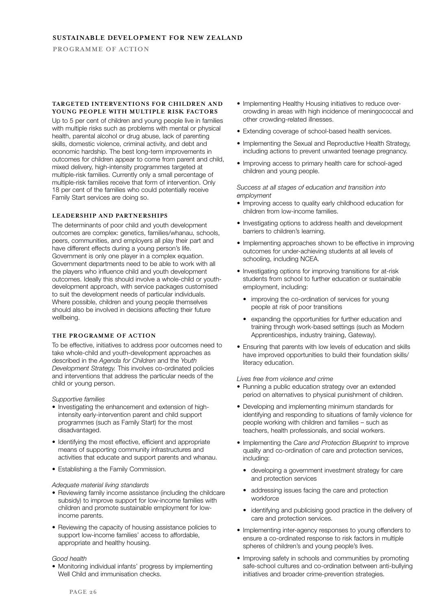#### **TARGETED INTERVENTIONS FOR CHILDREN AND YOUNG PEOPLE WITH MULTIPLE RISK FACTORS**

Up to 5 per cent of children and young people live in families with multiple risks such as problems with mental or physical health, parental alcohol or drug abuse, lack of parenting skills, domestic violence, criminal activity, and debt and economic hardship. The best long-term improvements in outcomes for children appear to come from parent and child, mixed delivery, high-intensity programmes targeted at multiple-risk families. Currently only a small percentage of multiple-risk families receive that form of intervention. Only 18 per cent of the families who could potentially receive Family Start services are doing so.

## **LEADERSHIP AND PARTNERSHIPS**

The determinants of poor child and youth development outcomes are complex: genetics, families/whanau, schools, peers, communities, and employers all play their part and have different effects during a young person's life. Government is only one player in a complex equation. Government departments need to be able to work with all the players who influence child and youth development outcomes. Ideally this should involve a whole-child or youthdevelopment approach, with service packages customised to suit the development needs of particular individuals. Where possible, children and young people themselves should also be involved in decisions affecting their future wellbeing.

### **THE PROGRAMME OF ACTION**

To be effective, initiatives to address poor outcomes need to take whole-child and youth-development approaches as described in the *Agenda for Children* and the *Youth Development Strategy.* This involves co-ordinated policies and interventions that address the particular needs of the child or young person.

*Supportive families*

- Investigating the enhancement and extension of highintensity early-intervention parent and child support programmes (such as Family Start) for the most disadvantaged.
- Identifying the most effective, efficient and appropriate means of supporting community infrastructures and activities that educate and support parents and whanau.
- Establishing a the Family Commission.

#### *Adequate material living standards*

- Reviewing family income assistance (including the childcare subsidy) to improve support for low-income families with children and promote sustainable employment for lowincome parents.
- Reviewing the capacity of housing assistance policies to support low-income families' access to affordable, appropriate and healthy housing.

#### *Good health*

• Monitoring individual infants' progress by implementing Well Child and immunisation checks.

- Implementing Healthy Housing initiatives to reduce overcrowding in areas with high incidence of meningococcal and other crowding-related illnesses.
- Extending coverage of school-based health services.
- Implementing the Sexual and Reproductive Health Strategy, including actions to prevent unwanted teenage pregnancy.
- Improving access to primary health care for school-aged children and young people.

#### *Success at all stages of education and transition into employment*

- Improving access to quality early childhood education for children from low-income families.
- Investigating options to address health and development barriers to children's learning.
- Implementing approaches shown to be effective in improving outcomes for under-achieving students at all levels of schooling, including NCEA.
- Investigating options for improving transitions for at-risk students from school to further education or sustainable employment, including:
	- improving the co-ordination of services for young people at risk of poor transitions
	- expanding the opportunities for further education and training through work-based settings (such as Modern Apprenticeships, industry training, Gateway).
- Ensuring that parents with low levels of education and skills have improved opportunities to build their foundation skills/ literacy education.

*Lives free from violence and crime* 

- Running a public education strategy over an extended period on alternatives to physical punishment of children.
- Developing and implementing minimum standards for identifying and responding to situations of family violence for people working with children and families – such as teachers, health professionals, and social workers.
- Implementing the *Care and Protection Blueprint* to improve quality and co-ordination of care and protection services, including:
	- developing a government investment strategy for care and protection services
	- addressing issues facing the care and protection workforce
	- identifying and publicising good practice in the delivery of care and protection services.
- Implementing inter-agency responses to young offenders to ensure a co-ordinated response to risk factors in multiple spheres of children's and young people's lives.
- Improving safety in schools and communities by promoting safe-school cultures and co-ordination between anti-bullying initiatives and broader crime-prevention strategies.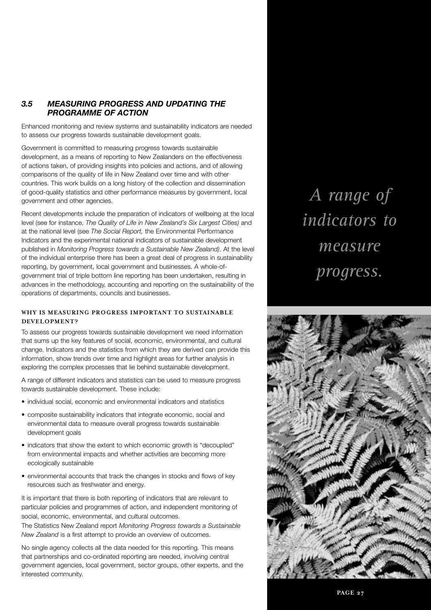## *3.5 MEASURING PROGRESS AND UPDATING THE PROGRAMME OF ACTION*

Enhanced monitoring and review systems and sustainability indicators are needed to assess our progress towards sustainable development goals.

Government is committed to measuring progress towards sustainable development, as a means of reporting to New Zealanders on the effectiveness of actions taken, of providing insights into policies and actions, and of allowing comparisons of the quality of life in New Zealand over time and with other countries. This work builds on a long history of the collection and dissemination of good-quality statistics and other performance measures by government, local government and other agencies.

Recent developments include the preparation of indicators of wellbeing at the local level (see for instance, *The Quality of Life in New Zealand's Six Largest Cities)* and at the national level (see *The Social Report,* the Environmental Performance Indicators and the experimental national indicators of sustainable development published in *Monitoring Progress towards a Sustainable New Zealand)*. At the level of the individual enterprise there has been a great deal of progress in sustainability reporting, by government, local government and businesses. A whole-ofgovernment trial of triple bottom line reporting has been undertaken, resulting in advances in the methodology, accounting and reporting on the sustainability of the operations of departments, councils and businesses.

## **WHY IS MEASURING PROGRESS IMPORTANT TO SUSTAINABLE DEVELOPMENT?**

To assess our progress towards sustainable development we need information that sums up the key features of social, economic, environmental, and cultural change. Indicators and the statistics from which they are derived can provide this information, show trends over time and highlight areas for further analysis in exploring the complex processes that lie behind sustainable development.

A range of different indicators and statistics can be used to measure progress towards sustainable development. These include:

- individual social, economic and environmental indicators and statistics
- composite sustainability indicators that integrate economic, social and environmental data to measure overall progress towards sustainable development goals
- indicators that show the extent to which economic growth is "decoupled" from environmental impacts and whether activities are becoming more ecologically sustainable
- environmental accounts that track the changes in stocks and flows of key resources such as freshwater and energy.

It is important that there is both reporting of indicators that are relevant to particular policies and programmes of action, and independent monitoring of social, economic, environmental, and cultural outcomes.

The Statistics New Zealand report *Monitoring Progress towards a Sustainable New Zealand* is a first attempt to provide an overview of outcomes.

No single agency collects all the data needed for this reporting. This means that partnerships and co-ordinated reporting are needed, involving central government agencies, local government, sector groups, other experts, and the interested community.

*A range of indicators to measure progress.*

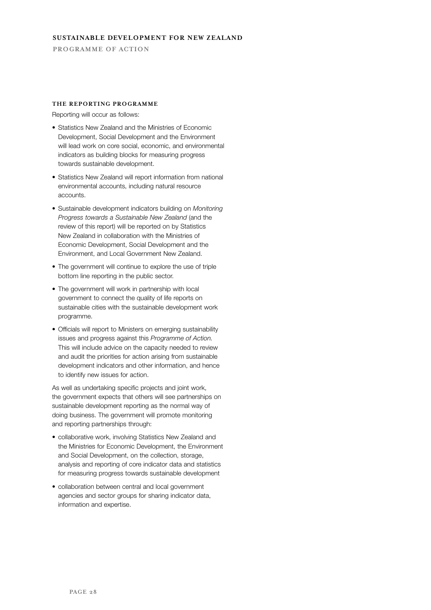## **THE REPORTING PROGRAMME**

Reporting will occur as follows:

- Statistics New Zealand and the Ministries of Economic Development, Social Development and the Environment will lead work on core social, economic, and environmental indicators as building blocks for measuring progress towards sustainable development.
- Statistics New Zealand will report information from national environmental accounts, including natural resource accounts.
- Sustainable development indicators building on *Monitoring Progress towards a Sustainable New Zealand* (and the review of this report) will be reported on by Statistics New Zealand in collaboration with the Ministries of Economic Development, Social Development and the Environment, and Local Government New Zealand.
- The government will continue to explore the use of triple bottom line reporting in the public sector.
- The government will work in partnership with local government to connect the quality of life reports on sustainable cities with the sustainable development work programme.
- Officials will report to Ministers on emerging sustainability issues and progress against this *Programme of Action.* This will include advice on the capacity needed to review and audit the priorities for action arising from sustainable development indicators and other information, and hence to identify new issues for action.

As well as undertaking specific projects and joint work, the government expects that others will see partnerships on sustainable development reporting as the normal way of doing business. The government will promote monitoring and reporting partnerships through:

- collaborative work, involving Statistics New Zealand and the Ministries for Economic Development, the Environment and Social Development, on the collection, storage, analysis and reporting of core indicator data and statistics for measuring progress towards sustainable development
- collaboration between central and local government agencies and sector groups for sharing indicator data, information and expertise.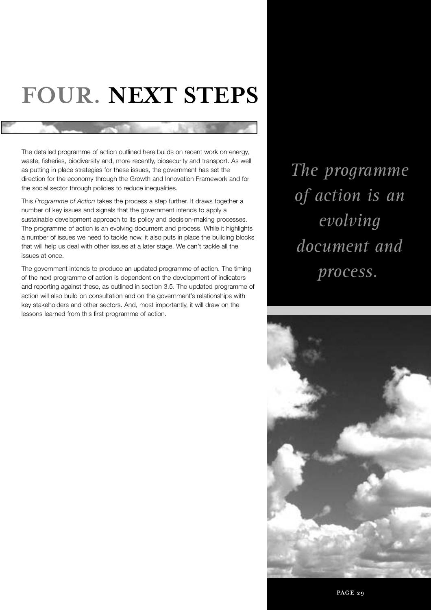# **FOUR. NEXT STEPS**

The detailed programme of action outlined here builds on recent work on energy, waste, fisheries, biodiversity and, more recently, biosecurity and transport. As well as putting in place strategies for these issues, the government has set the direction for the economy through the Growth and Innovation Framework and for the social sector through policies to reduce inequalities.

This *Programme of Action* takes the process a step further. It draws together a number of key issues and signals that the government intends to apply a sustainable development approach to its policy and decision-making processes. The programme of action is an evolving document and process. While it highlights a number of issues we need to tackle now, it also puts in place the building blocks that will help us deal with other issues at a later stage. We can't tackle all the issues at once.

The government intends to produce an updated programme of action. The timing of the next programme of action is dependent on the development of indicators and reporting against these, as outlined in section 3.5. The updated programme of action will also build on consultation and on the government's relationships with key stakeholders and other sectors. And, most importantly, it will draw on the lessons learned from this first programme of action.

*The programme of action is an evolving document and* process.

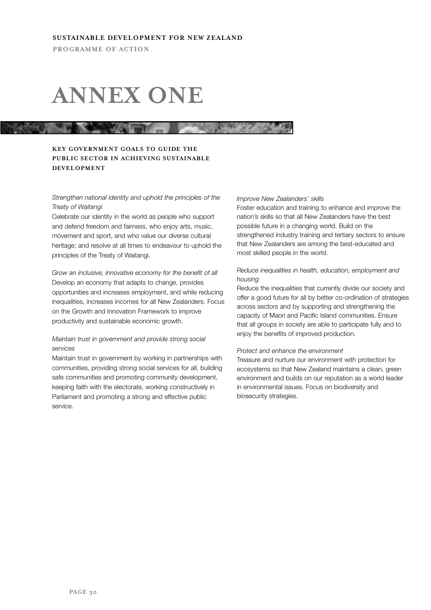## **ANNEX ONE**

#### **THE REAL PROPERTY AND Company**

## **KEY GOVERNMENT GOALS TO GUIDE THE PUBLIC SECTOR IN ACHIEVING SUSTAINABLE DEVELOPMENT**

## *Strengthen national identity and uphold the principles of the Treaty of Waitangi*

Celebrate our identity in the world as people who support and defend freedom and fairness, who enjoy arts, music, movement and sport, and who value our diverse cultural heritage; and resolve at all times to endeavour to uphold the principles of the Treaty of Waitangi.

*Grow an inclusive, innovative economy for the benefit of all* Develop an economy that adapts to change, provides opportunities and increases employment, and while reducing inequalities, increases incomes for all New Zealanders. Focus on the Growth and Innovation Framework to improve productivity and sustainable economic growth.

## *Maintain trust in government and provide strong social services*

Maintain trust in government by working in partnerships with communities, providing strong social services for all, building safe communities and promoting community development, keeping faith with the electorate, working constructively in Parliament and promoting a strong and effective public service.

#### *Improve New Zealanders' skills*

Foster education and training to enhance and improve the nation's skills so that all New Zealanders have the best possible future in a changing world. Build on the strengthened industry training and tertiary sectors to ensure that New Zealanders are among the best-educated and most skilled people in the world.

## *Reduce inequalities in health, education, employment and housing*

Reduce the inequalities that currently divide our society and offer a good future for all by better co-ordination of strategies across sectors and by supporting and strengthening the capacity of Maori and Pacific Island communities. Ensure that all groups in society are able to participate fully and to enjoy the benefits of improved production.

#### *Protect and enhance the environment*

Treasure and nurture our environment with protection for ecosystems so that New Zealand maintains a clean, green environment and builds on our reputation as a world leader in environmental issues. Focus on biodiversity and biosecurity strategies.